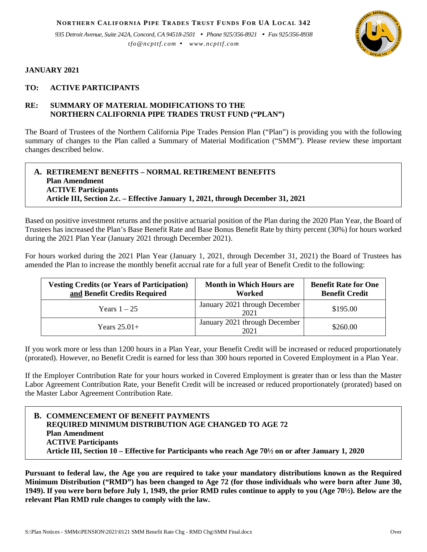**NORTHERN CALIFORNIA PIPE TRADES TRUST FUNDS FOR UA LOCAL 342**

*935 Detroit Avenue, Suite 242A, Concord, CA 94518-2501 Phone 925/356-8921 Fax 925/356-8938 tfo@ncpttf.com www.ncpttf.com*



## **JANUARY 2021**

## **TO: ACTIVE PARTICIPANTS**

# **RE: SUMMARY OF MATERIAL MODIFICATIONS TO THE NORTHERN CALIFORNIA PIPE TRADES TRUST FUND ("PLAN")**

The Board of Trustees of the Northern California Pipe Trades Pension Plan ("Plan") is providing you with the following summary of changes to the Plan called a Summary of Material Modification ("SMM"). Please review these important changes described below.

#### **A. RETIREMENT BENEFITS – NORMAL RETIREMENT BENEFITS Plan Amendment ACTIVE Participants Article III, Section 2.c. – Effective January 1, 2021, through December 31, 2021**

Based on positive investment returns and the positive actuarial position of the Plan during the 2020 Plan Year, the Board of Trustees has increased the Plan's Base Benefit Rate and Base Bonus Benefit Rate by thirty percent (30%) for hours worked during the 2021 Plan Year (January 2021 through December 2021).

For hours worked during the 2021 Plan Year (January 1, 2021, through December 31, 2021) the Board of Trustees has amended the Plan to increase the monthly benefit accrual rate for a full year of Benefit Credit to the following:

| <b>Vesting Credits (or Years of Participation)</b><br>and Benefit Credits Required | <b>Month in Which Hours are</b><br>Worked | <b>Benefit Rate for One</b><br><b>Benefit Credit</b> |
|------------------------------------------------------------------------------------|-------------------------------------------|------------------------------------------------------|
| Years $1-25$                                                                       | January 2021 through December<br>2021     | \$195.00                                             |
| Years $25.01+$                                                                     | January 2021 through December<br>2021     | \$260.00                                             |

If you work more or less than 1200 hours in a Plan Year, your Benefit Credit will be increased or reduced proportionately (prorated). However, no Benefit Credit is earned for less than 300 hours reported in Covered Employment in a Plan Year.

If the Employer Contribution Rate for your hours worked in Covered Employment is greater than or less than the Master Labor Agreement Contribution Rate, your Benefit Credit will be increased or reduced proportionately (prorated) based on the Master Labor Agreement Contribution Rate.

# **B. COMMENCEMENT OF BENEFIT PAYMENTS REQUIRED MINIMUM DISTRIBUTION AGE CHANGED TO AGE 72 Plan Amendment ACTIVE Participants Article III, Section 10 – Effective for Participants who reach Age 70½ on or after January 1, 2020**

**Pursuant to federal law, the Age you are required to take your mandatory distributions known as the Required Minimum Distribution ("RMD") has been changed to Age 72 (for those individuals who were born after June 30, 1949). If you were born before July 1, 1949, the prior RMD rules continue to apply to you (Age 70½). Below are the relevant Plan RMD rule changes to comply with the law.**